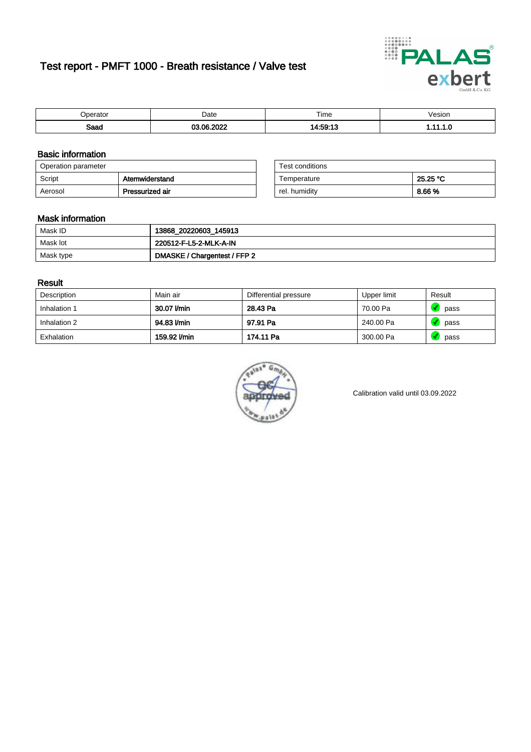# Test report - PMFT 1000 - Breath resistance / Valve test



| maxmax<br>ator | Date  | $- \cdot$<br>Time | /esion |
|----------------|-------|-------------------|--------|
| Saad           | ----- | $A - EQ - 4C$     | .      |

### Basic information

| Operation parameter |                 | Test conditions |          |
|---------------------|-----------------|-----------------|----------|
| Script              | Atemwiderstand  | Temperature     | 25.25 °C |
| Aerosol             | Pressurized air | rel. humidity   | 8.66%    |

| Test conditions |          |
|-----------------|----------|
| Temperature     | 25.25 °C |
| rel. humidity   | 8.66%    |

#### Mask information

| Mask ID   | 13868_20220603_145913        |
|-----------|------------------------------|
| Mask lot  | 220512-F-L5-2-MLK-A-IN       |
| Mask type | DMASKE / Chargentest / FFP 2 |

### Result

| Description  | Main air     | Differential pressure | Upper limit | Result |
|--------------|--------------|-----------------------|-------------|--------|
| Inhalation 1 | 30.07 l/min  | 28.43 Pa              | 70.00 Pa    | pass   |
| Inhalation 2 | 94.83 l/min  | 97.91 Pa              | 240.00 Pa   | pass   |
| Exhalation   | 159.92 l/min | 174.11 Pa             | 300.00 Pa   | pass   |



Calibration valid until 03.09.2022